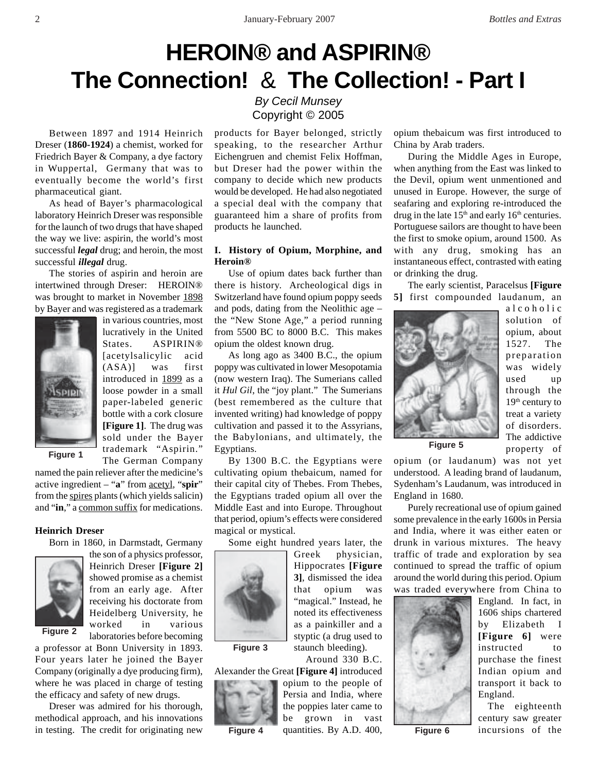# **HEROIN® and ASPIRIN® The Connection!** & **The Collection! - Part I**

Between 1897 and 1914 Heinrich Dreser (**1860-1924**) a chemist, worked for Friedrich Bayer & Company, a dye factory in Wuppertal, Germany that was to eventually become the world's first pharmaceutical giant.

As head of Bayer's pharmacological laboratory Heinrich Dreser was responsible for the launch of two drugs that have shaped the way we live: aspirin, the world's most successful *legal* drug; and heroin, the most successful *illegal* drug.

The stories of aspirin and heroin are intertwined through Dreser: HEROIN® was brought to market in November 1898 by Bayer and was registered as a trademark



in various countries, most lucratively in the United States. ASPIRIN® [acetylsalicylic acid (ASA)] was first introduced in 1899 as a loose powder in a small paper-labeled generic bottle with a cork closure **[Figure 1]**. The drug was sold under the Bayer trademark "Aspirin." The German Company

**Figure 1**

named the pain reliever after the medicine's active ingredient – "**a**" from acetyl, "**spir**" from the spires plants (which yields salicin) and "**in**," a common suffix for medications.

# **Heinrich Dreser**

Born in 1860, in Darmstadt, Germany



**Figure 2**

the son of a physics professor, Heinrich Dreser **[Figure 2]** showed promise as a chemist from an early age. After receiving his doctorate from Heidelberg University, he worked in various laboratories before becoming

a professor at Bonn University in 1893. Four years later he joined the Bayer Company (originally a dye producing firm), where he was placed in charge of testing the efficacy and safety of new drugs.

Dreser was admired for his thorough, methodical approach, and his innovations in testing. The credit for originating new

# *By Cecil Munsey* Copyright © 2005

products for Bayer belonged, strictly speaking, to the researcher Arthur Eichengruen and chemist Felix Hoffman, but Dreser had the power within the company to decide which new products would be developed. He had also negotiated a special deal with the company that guaranteed him a share of profits from products he launched.

# **I. History of Opium, Morphine, and Heroin®**

Use of opium dates back further than there is history. Archeological digs in Switzerland have found opium poppy seeds and pods, dating from the Neolithic age – the "New Stone Age," a period running from 5500 BC to 8000 B.C. This makes opium the oldest known drug.

As long ago as 3400 B.C., the opium poppy was cultivated in lower Mesopotamia (now western Iraq). The Sumerians called it *Hul Gil*, the "joy plant." The Sumerians (best remembered as the culture that invented writing) had knowledge of poppy cultivation and passed it to the Assyrians, the Babylonians, and ultimately, the Egyptians.

By 1300 B.C. the Egyptians were cultivating opium thebaicum, named for their capital city of Thebes. From Thebes, the Egyptians traded opium all over the Middle East and into Europe. Throughout that period, opium's effects were considered magical or mystical.

Some eight hundred years later, the



**Figure 3**

**Figure 4**

noted its effectiveness as a painkiller and a styptic (a drug used to staunch bleeding). Around 330 B.C.

Greek physician, Hippocrates **[Figure 3]**, dismissed the idea that opium was "magical." Instead, he

Alexander the Great **[Figure 4]** introduced opium to the people of Persia and India, where the poppies later came to be grown in vast quantities. By A.D. 400, opium thebaicum was first introduced to China by Arab traders.

During the Middle Ages in Europe, when anything from the East was linked to the Devil, opium went unmentioned and unused in Europe. However, the surge of seafaring and exploring re-introduced the drug in the late  $15<sup>th</sup>$  and early  $16<sup>th</sup>$  centuries. Portuguese sailors are thought to have been the first to smoke opium, around 1500. As with any drug, smoking has an instantaneous effect, contrasted with eating or drinking the drug.

The early scientist, Paracelsus **[Figure 5]** first compounded laudanum, an



alcoholic solution of opium, about 1527. The preparation was widely used up through the 19<sup>th</sup> century to treat a variety of disorders. The addictive property of

**Figure 5**

opium (or laudanum) was not yet understood. A leading brand of laudanum, Sydenham's Laudanum, was introduced in England in 1680.

Purely recreational use of opium gained some prevalence in the early 1600s in Persia and India, where it was either eaten or drunk in various mixtures. The heavy traffic of trade and exploration by sea continued to spread the traffic of opium around the world during this period. Opium was traded everywhere from China to



**Figure 6**

England. In fact, in 1606 ships chartered by Elizabeth I **[Figure 6]** were instructed to purchase the finest Indian opium and transport it back to England.

 The eighteenth century saw greater incursions of the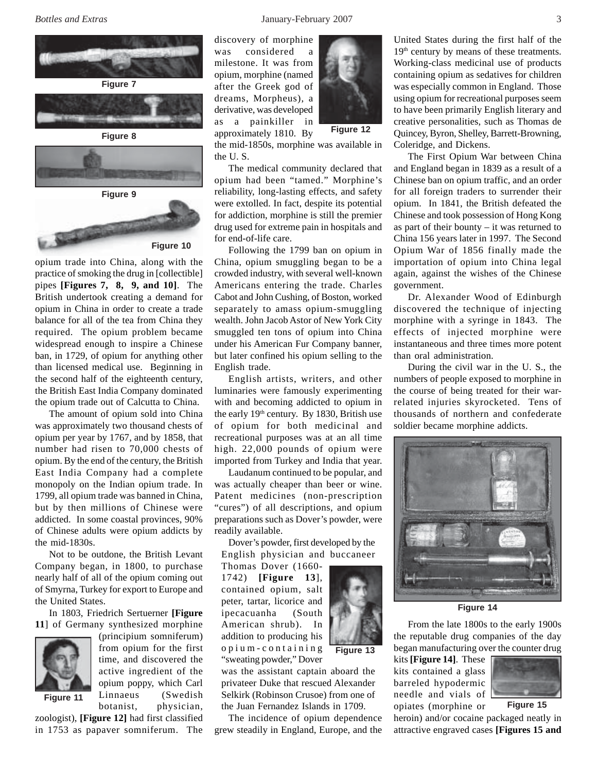



opium trade into China, along with the practice of smoking the drug in [collectible] pipes **[Figures 7, 8, 9, and 10]**. The British undertook creating a demand for opium in China in order to create a trade balance for all of the tea from China they required. The opium problem became widespread enough to inspire a Chinese ban, in 1729, of opium for anything other than licensed medical use. Beginning in the second half of the eighteenth century, the British East India Company dominated the opium trade out of Calcutta to China.

The amount of opium sold into China was approximately two thousand chests of opium per year by 1767, and by 1858, that number had risen to 70,000 chests of opium. By the end of the century, the British East India Company had a complete monopoly on the Indian opium trade. In 1799, all opium trade was banned in China, but by then millions of Chinese were addicted. In some coastal provinces, 90% of Chinese adults were opium addicts by the mid-1830s.

Not to be outdone, the British Levant Company began, in 1800, to purchase nearly half of all of the opium coming out of Smyrna, Turkey for export to Europe and the United States.

In 1803, Friedrich Sertuerner **[Figure 11**] of Germany synthesized morphine



(principium somniferum) from opium for the first time, and discovered the active ingredient of the opium poppy, which Carl Linnaeus (Swedish botanist, physician,

zoologist), **[Figure 12]** had first classified in 1753 as papaver somniferum. The discovery of morphine was considered a milestone. It was from opium, morphine (named after the Greek god of dreams, Morpheus), a derivative, was developed as a painkiller in approximately 1810. By



**Figure 12**

the mid-1850s, morphine was available in the U. S.

The medical community declared that opium had been "tamed." Morphine's reliability, long-lasting effects, and safety were extolled. In fact, despite its potential for addiction, morphine is still the premier drug used for extreme pain in hospitals and for end-of-life care.

Following the 1799 ban on opium in China, opium smuggling began to be a crowded industry, with several well-known Americans entering the trade. Charles Cabot and John Cushing, of Boston, worked separately to amass opium-smuggling wealth. John Jacob Astor of New York City smuggled ten tons of opium into China under his American Fur Company banner, but later confined his opium selling to the English trade.

English artists, writers, and other luminaries were famously experimenting with and becoming addicted to opium in the early  $19<sup>th</sup>$  century. By 1830, British use of opium for both medicinal and recreational purposes was at an all time high. 22,000 pounds of opium were imported from Turkey and India that year.

Laudanum continued to be popular, and was actually cheaper than beer or wine. Patent medicines (non-prescription "cures") of all descriptions, and opium preparations such as Dover's powder, were readily available.

Dover's powder, first developed by the English physician and buccaneer

Thomas Dover (1660- 1742) **[Figure 13**], contained opium, salt peter, tartar, licorice and ipecacuanha (South American shrub). In addition to producing his opium-containing "sweating powder," Dover

was the assistant captain aboard the privateer Duke that rescued Alexander Selkirk (Robinson Crusoe) from one of the Juan Fernandez Islands in 1709.

**Figure 13**

The incidence of opium dependence grew steadily in England, Europe, and the



The First Opium War between China and England began in 1839 as a result of a Chinese ban on opium traffic, and an order for all foreign traders to surrender their opium. In 1841, the British defeated the Chinese and took possession of Hong Kong as part of their bounty – it was returned to China 156 years later in 1997. The Second Opium War of 1856 finally made the importation of opium into China legal again, against the wishes of the Chinese government.

Dr. Alexander Wood of Edinburgh discovered the technique of injecting morphine with a syringe in 1843. The effects of injected morphine were instantaneous and three times more potent than oral administration.

During the civil war in the U. S., the numbers of people exposed to morphine in the course of being treated for their warrelated injuries skyrocketed. Tens of thousands of northern and confederate soldier became morphine addicts.





From the late 1800s to the early 1900s the reputable drug companies of the day began manufacturing over the counter drug

kits **[Figure 14]**. These kits contained a glass barreled hypodermic needle and vials of opiates (morphine or

**Figure 15**

heroin) and/or cocaine packaged neatly in attractive engraved cases **[Figures 15 and**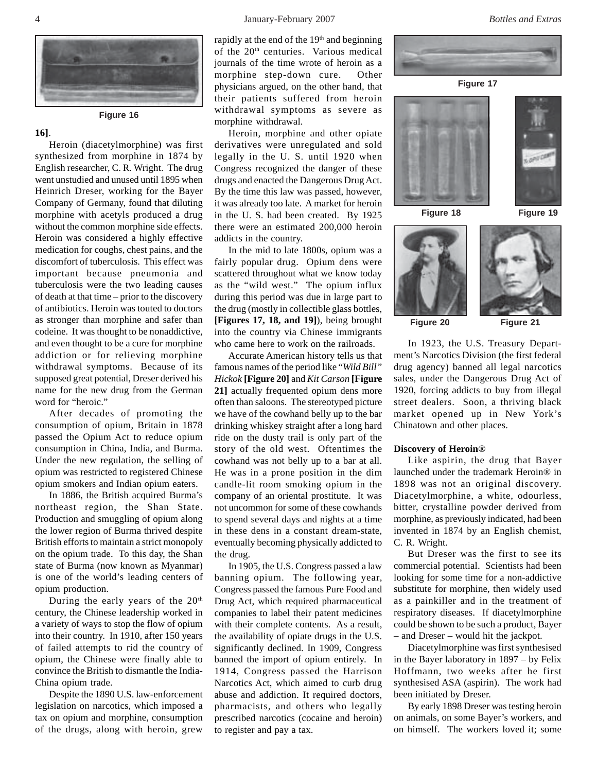#### 4 January-February 2007 *Bottles and Extras*



**Figure 16**

## **16]**.

Heroin (diacetylmorphine) was first synthesized from morphine in 1874 by English researcher, C. R. Wright. The drug went unstudied and unused until 1895 when Heinrich Dreser, working for the Bayer Company of Germany, found that diluting morphine with acetyls produced a drug without the common morphine side effects. Heroin was considered a highly effective medication for coughs, chest pains, and the discomfort of tuberculosis. This effect was important because pneumonia and tuberculosis were the two leading causes of death at that time – prior to the discovery of antibiotics. Heroin was touted to doctors as stronger than morphine and safer than codeine. It was thought to be nonaddictive, and even thought to be a cure for morphine addiction or for relieving morphine withdrawal symptoms. Because of its supposed great potential, Dreser derived his name for the new drug from the German word for "heroic."

After decades of promoting the consumption of opium, Britain in 1878 passed the Opium Act to reduce opium consumption in China, India, and Burma. Under the new regulation, the selling of opium was restricted to registered Chinese opium smokers and Indian opium eaters.

In 1886, the British acquired Burma's northeast region, the Shan State. Production and smuggling of opium along the lower region of Burma thrived despite British efforts to maintain a strict monopoly on the opium trade. To this day, the Shan state of Burma (now known as Myanmar) is one of the world's leading centers of opium production.

During the early years of the  $20<sup>th</sup>$ century, the Chinese leadership worked in a variety of ways to stop the flow of opium into their country. In 1910, after 150 years of failed attempts to rid the country of opium, the Chinese were finally able to convince the British to dismantle the India-China opium trade.

Despite the 1890 U.S. law-enforcement legislation on narcotics, which imposed a tax on opium and morphine, consumption of the drugs, along with heroin, grew

rapidly at the end of the 19<sup>th</sup> and beginning of the 20<sup>th</sup> centuries. Various medical journals of the time wrote of heroin as a morphine step-down cure. Other physicians argued, on the other hand, that their patients suffered from heroin withdrawal symptoms as severe as morphine withdrawal.

Heroin, morphine and other opiate derivatives were unregulated and sold legally in the U. S. until 1920 when Congress recognized the danger of these drugs and enacted the Dangerous Drug Act. By the time this law was passed, however, it was already too late. A market for heroin in the U. S. had been created. By 1925 there were an estimated 200,000 heroin addicts in the country.

In the mid to late 1800s, opium was a fairly popular drug. Opium dens were scattered throughout what we know today as the "wild west." The opium influx during this period was due in large part to the drug (mostly in collectible glass bottles, **[Figures 17, 18, and 19]**), being brought into the country via Chinese immigrants who came here to work on the railroads.

Accurate American history tells us that famous names of the period like "*Wild Bill" Hickok* **[Figure 20]** and *Kit Carson* **[Figure 21]** actually frequented opium dens more often than saloons. The stereotyped picture we have of the cowhand belly up to the bar drinking whiskey straight after a long hard ride on the dusty trail is only part of the story of the old west. Oftentimes the cowhand was not belly up to a bar at all. He was in a prone position in the dim candle-lit room smoking opium in the company of an oriental prostitute. It was not uncommon for some of these cowhands to spend several days and nights at a time in these dens in a constant dream-state, eventually becoming physically addicted to the drug.

In 1905, the U.S. Congress passed a law banning opium. The following year, Congress passed the famous Pure Food and Drug Act, which required pharmaceutical companies to label their patent medicines with their complete contents. As a result, the availability of opiate drugs in the U.S. significantly declined. In 1909, Congress banned the import of opium entirely. In 1914, Congress passed the Harrison Narcotics Act, which aimed to curb drug abuse and addiction. It required doctors, pharmacists, and others who legally prescribed narcotics (cocaine and heroin) to register and pay a tax.













**Figure 20 Figure 21**

In 1923, the U.S. Treasury Department's Narcotics Division (the first federal drug agency) banned all legal narcotics sales, under the Dangerous Drug Act of 1920, forcing addicts to buy from illegal street dealers. Soon, a thriving black market opened up in New York's Chinatown and other places.

#### **Discovery of Heroin®**

Like aspirin, the drug that Bayer launched under the trademark Heroin® in 1898 was not an original discovery. Diacetylmorphine, a white, odourless, bitter, crystalline powder derived from morphine, as previously indicated, had been invented in 1874 by an English chemist, C. R. Wright.

But Dreser was the first to see its commercial potential. Scientists had been looking for some time for a non-addictive substitute for morphine, then widely used as a painkiller and in the treatment of respiratory diseases. If diacetylmorphine could be shown to be such a product, Bayer – and Dreser – would hit the jackpot.

Diacetylmorphine was first synthesised in the Bayer laboratory in 1897 – by Felix Hoffmann, two weeks after he first synthesised ASA (aspirin). The work had been initiated by Dreser.

By early 1898 Dreser was testing heroin on animals, on some Bayer's workers, and on himself. The workers loved it; some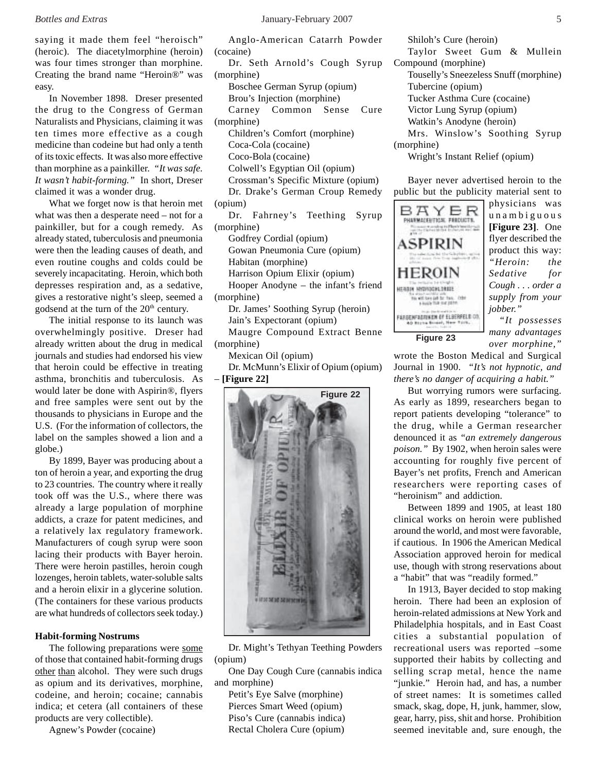saying it made them feel "heroisch" (heroic). The diacetylmorphine (heroin) was four times stronger than morphine. Creating the brand name "Heroin®" was easy.

In November 1898. Dreser presented the drug to the Congress of German Naturalists and Physicians, claiming it was ten times more effective as a cough medicine than codeine but had only a tenth of its toxic effects. It was also more effective than morphine as a painkiller. *"It was safe. It wasn't habit-forming."* In short, Dreser claimed it was a wonder drug.

What we forget now is that heroin met what was then a desperate need – not for a painkiller, but for a cough remedy. As already stated, tuberculosis and pneumonia were then the leading causes of death, and even routine coughs and colds could be severely incapacitating. Heroin, which both depresses respiration and, as a sedative, gives a restorative night's sleep, seemed a godsend at the turn of the 20<sup>th</sup> century.

The initial response to its launch was overwhelmingly positive. Dreser had already written about the drug in medical journals and studies had endorsed his view that heroin could be effective in treating asthma, bronchitis and tuberculosis. As would later be done with Aspirin®, flyers and free samples were sent out by the thousands to physicians in Europe and the U.S. (For the information of collectors, the label on the samples showed a lion and a globe.)

By 1899, Bayer was producing about a ton of heroin a year, and exporting the drug to 23 countries. The country where it really took off was the U.S., where there was already a large population of morphine addicts, a craze for patent medicines, and a relatively lax regulatory framework. Manufacturers of cough syrup were soon lacing their products with Bayer heroin. There were heroin pastilles, heroin cough lozenges, heroin tablets, water-soluble salts and a heroin elixir in a glycerine solution. (The containers for these various products are what hundreds of collectors seek today.)

### **Habit-forming Nostrums**

The following preparations were some of those that contained habit-forming drugs other than alcohol. They were such drugs as opium and its derivatives, morphine, codeine, and heroin; cocaine; cannabis indica; et cetera (all containers of these products are very collectible).

Agnew's Powder (cocaine)

Anglo-American Catarrh Powder (cocaine)

Dr. Seth Arnold's Cough Syrup (morphine) Boschee German Syrup (opium) Brou's Injection (morphine)

Carney Common Sense Cure (morphine) Children's Comfort (morphine) Coca-Cola (cocaine)

Coco-Bola (cocaine)

Colwell's Egyptian Oil (opium)

Crossman's Specific Mixture (opium)

Dr. Drake's German Croup Remedy (opium)

Dr. Fahrney's Teething Syrup (morphine)

Godfrey Cordial (opium)

Gowan Pneumonia Cure (opium)

Habitan (morphine)

Harrison Opium Elixir (opium)

Hooper Anodyne – the infant's friend (morphine)

Dr. James' Soothing Syrup (heroin)

Jain's Expectorant (opium)

Maugre Compound Extract Benne (morphine)

Mexican Oil (opium)

Dr. McMunn's Elixir of Opium (opium) – **[Figure 22]**



Dr. Might's Tethyan Teething Powders (opium)

One Day Cough Cure (cannabis indica and morphine)

Petit's Eye Salve (morphine) Pierces Smart Weed (opium) Piso's Cure (cannabis indica) Rectal Cholera Cure (opium)

Shiloh's Cure (heroin) Taylor Sweet Gum & Mullein Compound (morphine) Touselly's Sneezeless Snuff (morphine) Tubercine (opium) Tucker Asthma Cure (cocaine) Victor Lung Syrup (opium) Watkin's Anodyne (heroin) Mrs. Winslow's Soothing Syrup

(morphine)

Wright's Instant Relief (opium)

Bayer never advertised heroin to the public but the publicity material sent to



physicians was unambiguous **[Figure 23]**. One flyer described the product this way: *"Heroin: the Sedative for Cough . . . order a supply from your jobber."*

*"It possesses many advantages over morphine,"*

wrote the Boston Medical and Surgical Journal in 1900. *"It's not hypnotic, and there's no danger of acquiring a habit."*

But worrying rumors were surfacing. As early as 1899, researchers began to report patients developing "tolerance" to the drug, while a German researcher denounced it as *"an extremely dangerous poison."* By 1902, when heroin sales were accounting for roughly five percent of Bayer's net profits, French and American researchers were reporting cases of "heroinism" and addiction.

Between 1899 and 1905, at least 180 clinical works on heroin were published around the world, and most were favorable, if cautious. In 1906 the American Medical Association approved heroin for medical use, though with strong reservations about a "habit" that was "readily formed."

In 1913, Bayer decided to stop making heroin. There had been an explosion of heroin-related admissions at New York and Philadelphia hospitals, and in East Coast cities a substantial population of recreational users was reported –some supported their habits by collecting and selling scrap metal, hence the name "junkie." Heroin had, and has, a number of street names: It is sometimes called smack, skag, dope, H, junk, hammer, slow, gear, harry, piss, shit and horse. Prohibition seemed inevitable and, sure enough, the